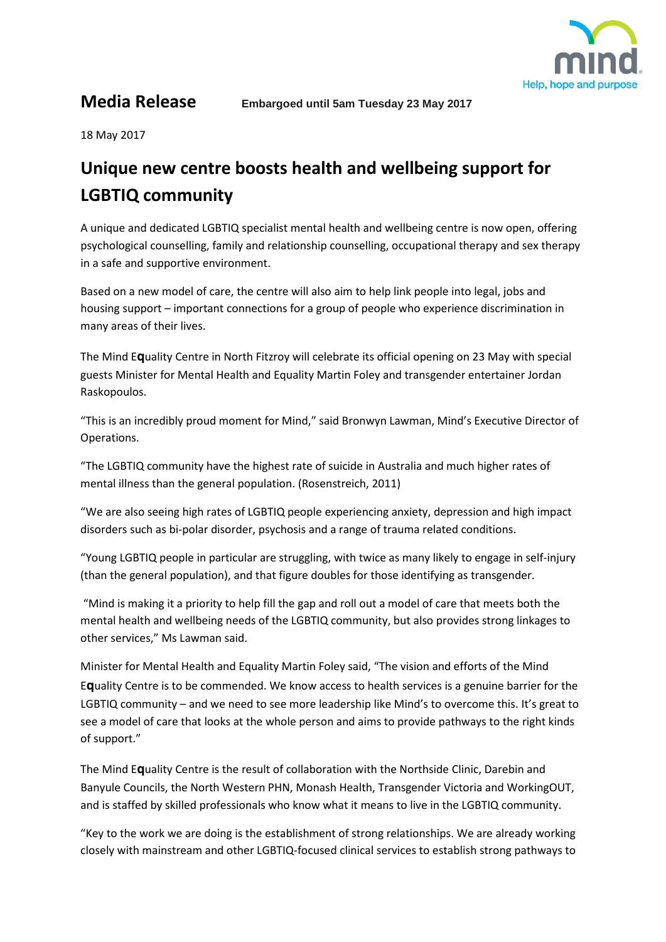

**Media Release Embargoed until 5am Tuesday 23 May 2017**

18 May 2017

## **Unique new centre boosts health and wellbeing support for LGBTIQ community**

A unique and dedicated LGBTIQ specialist mental health and wellbeing centre is now open, offering psychological counselling, family and relationship counselling, occupational therapy and sex therapy in a safe and supportive environment.

Based on a new model of care, the centre will also aim to help link people into legal, jobs and housing support – important connections for a group of people who experience discrimination in many areas of their lives.

The Mind E**q**uality Centre in North Fitzroy will celebrate its official opening on 23 May with special guests Minister for Mental Health and Equality Martin Foley and transgender entertainer Jordan Raskopoulos.

"This is an incredibly proud moment for Mind," said Bronwyn Lawman, Mind's Executive Director of Operations.

"The LGBTIQ community have the highest rate of suicide in Australia and much higher rates of mental illness than the general population. (Rosenstreich, 2011)

"We are also seeing high rates of LGBTIQ people experiencing anxiety, depression and high impact disorders such as bi-polar disorder, psychosis and a range of trauma related conditions.

"Young LGBTIQ people in particular are struggling, with twice as many likely to engage in self-injury (than the general population), and that figure doubles for those identifying as transgender.

"Mind is making it a priority to help fill the gap and roll out a model of care that meets both the mental health and wellbeing needs of the LGBTIQ community, but also provides strong linkages to other services," Ms Lawman said.

Minister for Mental Health and Equality Martin Foley said, "The vision and efforts of the Mind E**q**uality Centre is to be commended. We know access to health services is a genuine barrier for the LGBTIQ community – and we need to see more leadership like Mind's to overcome this. It's great to see a model of care that looks at the whole person and aims to provide pathways to the right kinds of support."

The Mind E**q**uality Centre is the result of collaboration with the Northside Clinic, Darebin and Banyule Councils, the North Western PHN, Monash Health, Transgender Victoria and WorkingOUT, and is staffed by skilled professionals who know what it means to live in the LGBTIQ community.

"Key to the work we are doing is the establishment of strong relationships. We are already working closely with mainstream and other LGBTIQ-focused clinical services to establish strong pathways to